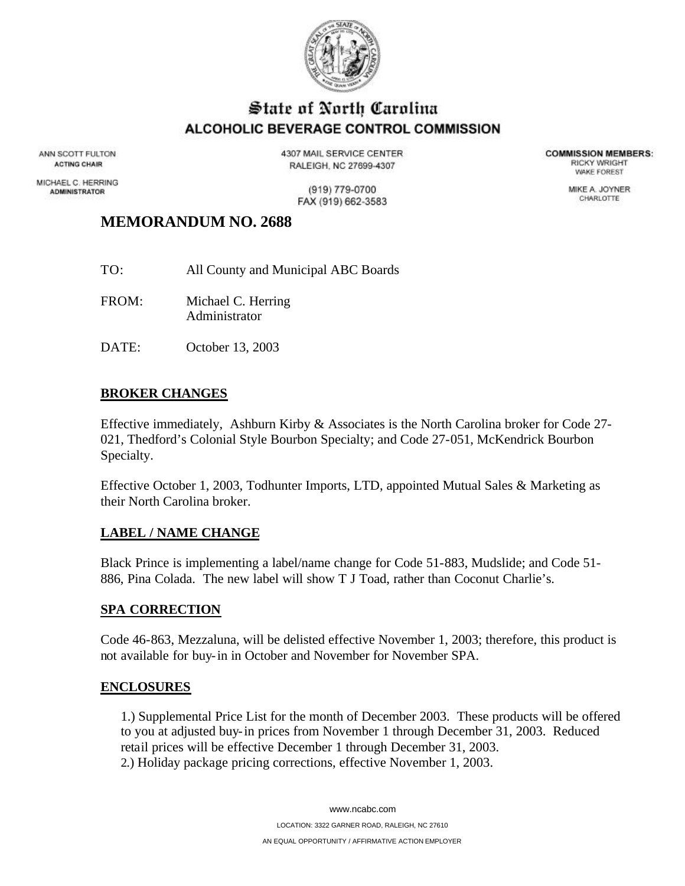

## State of North Carolina ALCOHOLIC BEVERAGE CONTROL COMMISSION

ANN SCOTT FULTON **ACTING CHAIR** 

MICHAEL C. HERRING **ADMINISTRATOR** 

4307 MAIL SERVICE CENTER RALEIGH, NC 27699-4307

**COMMISSION MEMBERS: RICKY WRIGHT** *VIAKE FOREST* 

MIKE A. JOYNER

CHARLOTTE

(919) 779-0700 FAX (919) 662-3583

### **MEMORANDUM NO. 2688**

- TO: All County and Municipal ABC Boards FROM: Michael C. Herring Administrator
- DATE: October 13, 2003

### **BROKER CHANGES**

Effective immediately, Ashburn Kirby & Associates is the North Carolina broker for Code 27- 021, Thedford's Colonial Style Bourbon Specialty; and Code 27-051, McKendrick Bourbon Specialty.

Effective October 1, 2003, Todhunter Imports, LTD, appointed Mutual Sales & Marketing as their North Carolina broker.

### **LABEL / NAME CHANGE**

Black Prince is implementing a label/name change for Code 51-883, Mudslide; and Code 51- 886, Pina Colada. The new label will show T J Toad, rather than Coconut Charlie's.

#### **SPA CORRECTION**

Code 46-863, Mezzaluna, will be delisted effective November 1, 2003; therefore, this product is not available for buy-in in October and November for November SPA.

#### **ENCLOSURES**

1.) Supplemental Price List for the month of December 2003. These products will be offered to you at adjusted buy-in prices from November 1 through December 31, 2003. Reduced retail prices will be effective December 1 through December 31, 2003. 2.) Holiday package pricing corrections, effective November 1, 2003.